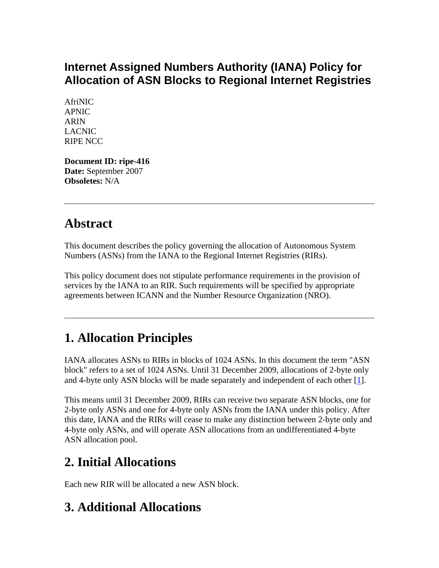### **Internet Assigned Numbers Authority (IANA) Policy for Allocation of ASN Blocks to Regional Internet Registries**

AfriNIC APNIC ARIN LACNIC RIPE NCC

**Document ID: ripe-416 Date:** September 2007 **Obsoletes:** N/A

### **Abstract**

This document describes the policy governing the allocation of Autonomous System Numbers (ASNs) from the IANA to the Regional Internet Registries (RIRs).

This policy document does not stipulate performance requirements in the provision of services by the IANA to an RIR. Such requirements will be specified by appropriate agreements between ICANN and the Number Resource Organization (NRO).

# **1. Allocation Principles**

IANA allocates ASNs to RIRs in blocks of 1024 ASNs. In this document the term "ASN block" refers to a set of 1024 ASNs. Until 31 December 2009, allocations of 2-byte only and 4-byte only ASN blocks will be made separately and independent of each other [[1\]](http://test-www.ripe.net/ripe/docs/ripe-416.html#ref#ref).

This means until 31 December 2009, RIRs can receive two separate ASN blocks, one for 2-byte only ASNs and one for 4-byte only ASNs from the IANA under this policy. After this date, IANA and the RIRs will cease to make any distinction between 2-byte only and 4-byte only ASNs, and will operate ASN allocations from an undifferentiated 4-byte ASN allocation pool.

# **2. Initial Allocations**

Each new RIR will be allocated a new ASN block.

# **3. Additional Allocations**